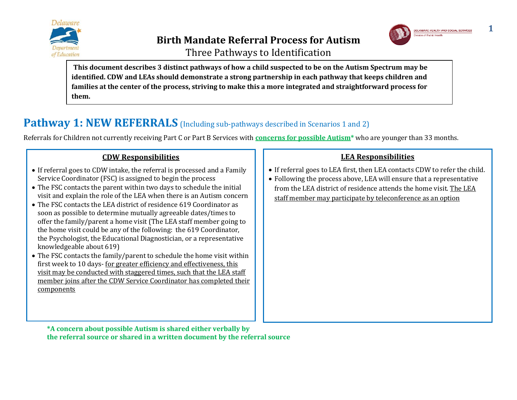





**This document describes 3 distinct pathways of how a child suspected to be on the Autism Spectrum may be identified. CDW and LEAs should demonstrate a strong partnership in each pathway that keeps children and families at the center of the process, striving to make this a more integrated and straightforward process for them.**

# **Pathway 1: NEW REFERRALS** (Including sub-pathways described in Scenarios 1 and 2)

Referrals for Children not currently receiving Part C or Part B Services with **concerns for possible Autism\*** who are younger than 33 months.

### **CDW Responsibilities**

- If referral goes to CDW intake, the referral is processed and a Family Service Coordinator (FSC) is assigned to begin the process
- The FSC contacts the parent within two days to schedule the initial visit and explain the role of the LEA when there is an Autism concern
- The FSC contacts the LEA district of residence 619 Coordinator as soon as possible to determine mutually agreeable dates/times to offer the family/parent a home visit (The LEA staff member going to the home visit could be any of the following: the 619 Coordinator, the Psychologist, the Educational Diagnostician, or a representative knowledgeable about 619)
- The FSC contacts the family/parent to schedule the home visit within first week to 10 days- for greater efficiency and effectiveness, this visit may be conducted with staggered times, such that the LEA staff member joins after the CDW Service Coordinator has completed their components

### **LEA Responsibilities**

- If referral goes to LEA first, then LEA contacts CDW to refer the child.
- Following the process above, LEA will ensure that a representative from the LEA district of residence attends the home visit. The LEA staff member may participate by teleconference as an option

**\*A concern about possible Autism is shared either verbally by the referral source or shared in a written document by the referral source**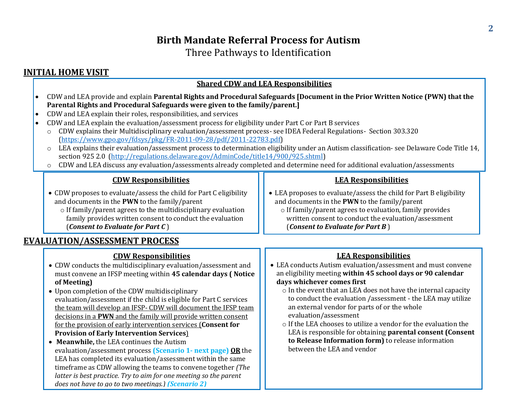Three Pathways to Identification

### **INITIAL HOME VISIT**

### **Shared CDW and LEA Responsibilities**

- CDW and LEA provide and explain **Parental Rights and Procedural Safeguards [Document in the Prior Written Notice (PWN) that the Parental Rights and Procedural Safeguards were given to the family/parent.]**
- CDW and LEA explain their roles, responsibilities, and services
- CDW and LEA explain the evaluation/assessment process for eligibility under Part C or Part B services
	- o CDW explains their Multidisciplinary evaluation/assessment process- see IDEA Federal Regulations- Section 303.320 [\(https://www.gpo.gov/fdsys/pkg/FR-2011-09-28/pdf/2011-22783.pdf\)](https://www.gpo.gov/fdsys/pkg/FR-2011-09-28/pdf/2011-22783.pdf)
	- o LEA explains their evaluation/assessment process to determination eligibility under an Autism classification- see Delaware Code Title 14, section 925 2.0 [\(http://regulations.delaware.gov/AdminCode/title14/900/925.shtml\)](http://regulations.delaware.gov/AdminCode/title14/900/925.shtml)
	- o CDW and LEA discuss any evaluation/assessments already completed and determine need for additional evaluation/assessments

### **CDW Responsibilities**

- CDW proposes to evaluate/assess the child for Part C eligibility and documents in the **PWN** to the family/parent
	- o If family/parent agrees to the multidisciplinary evaluation family provides written consent to conduct the evaluation (*Consent to Evaluate for Part C* )

### **EVALUATION/ASSESSMENT PROCESS**

### **CDW Responsibilities**

- CDW conducts the multidisciplinary evaluation/assessment and must convene an IFSP meeting within **45 calendar days ( Notice of Meeting)**
- Upon completion of the CDW multidisciplinary evaluation/assessment if the child is eligible for Part C services the team will develop an IFSP- CDW will document the IFSP team decisions in a **PWN** and the family will provide written consent for the provision of early intervention services (**Consent for Provision of Early Intervention Services**)
- **Meanwhile,** the LEA continues the Autism evaluation/assessment process **(Scenario 1- next page) OR** the LEA has completed its evaluation/assessment within the same timeframe as CDW allowing the teams to convene together *(The latter is best practice. Try to aim for one meeting so the parent does not have to go to two meetings.) (Scenario 2)*

 LEA proposes to evaluate/assess the child for Part B eligibility and documents in the **PWN** to the family/parent

**LEA Responsibilities**

o If family/parent agrees to evaluation, family provides written consent to conduct the evaluation/assessment (*Consent to Evaluate for Part B* )

### **LEA Responsibilities**

- LEA conducts Autism evaluation/assessment and must convene an eligibility meeting **within 45 school days or 90 calendar days whichever comes first**
	- o In the event that an LEA does not have the internal capacity to conduct the evaluation /assessment - the LEA may utilize an external vendor for parts of or the whole evaluation/assessment
	- o If the LEA chooses to utilize a vendor for the evaluation the LEA is responsible for obtaining **parental consent (Consent to Release Information form)** to release information between the LEA and vendor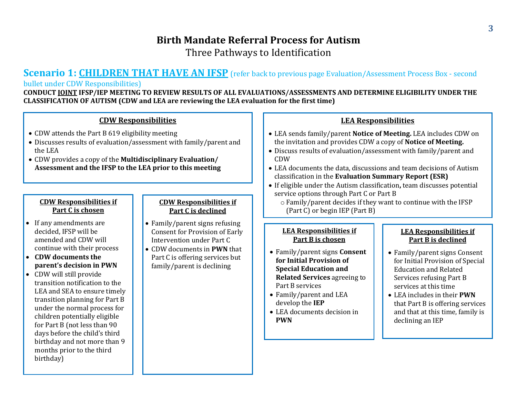### **Birth Mandate Referral Process for Autism** Three Pathways to Identification

### **Scenario 1: CHILDREN THAT HAVE AN IFSP** (refer back to previous page Evaluation/Assessment Process Box - second bullet under CDW Responsibilities)

**CONDUCT JOINT IFSP/IEP MEETING TO REVIEW RESULTS OF ALL EVALUATIONS/ASSESSMENTS AND DETERMINE ELIGIBILITY UNDER THE CLASSIFICATION OF AUTISM (CDW and LEA are reviewing the LEA evaluation for the first time)**

#### **CDW Responsibilities**

- CDW attends the Part B 619 eligibility meeting
- Discusses results of evaluation/assessment with family/parent and the LEA
- CDW provides a copy of the **Multidisciplinary Evaluation/ Assessment and the IFSP to the LEA prior to this meeting**

#### **CDW Responsibilities if Part C is chosen**

- If any amendments are decided, IFSP will be amended and CDW will continue with their process
- **CDW documents the parent's decision in PWN**
- CDW will still provide transition notification to the LEA and SEA to ensure timely transition planning for Part B under the normal process for children potentially eligible for Part B (not less than 90 days before the child's third birthday and not more than 9 months prior to the third birthday)

#### **CDW Responsibilities if Part C is declined**

- Family/parent signs refusing Consent for Provision of Early Intervention under Part C
- CDW documents in **PWN** that Part C is offering services but family/parent is declining

#### **LEA Responsibilities**

- LEA sends family/parent **Notice of Meeting.** LEA includes CDW on the invitation and provides CDW a copy of **Notice of Meeting.**
- Discuss results of evaluation/assessment with family/parent and CDW
- LEA documents the data, discussions and team decisions of Autism classification in the **Evaluation Summary Report (ESR)**
- If eligible under the Autism classification**,** team discusses potential service options through Part C or Part B
	- o Family/parent decides if they want to continue with the IFSP (Part C) or begin IEP (Part B)

#### **LEA Responsibilities if Part B is chosen**

- Family/parent signs **Consent for Initial Provision of Special Education and Related Services** agreeing to Part B services
- Family/parent and LEA develop the **IEP**
- LEA documents decision in **PWN**

#### **LEA Responsibilities if Part B is declined**

- Family/parent signs Consent for Initial Provision of Special Education and Related Services refusing Part B services at this time
- LEA includes in their **PWN** that Part B is offering services and that at this time, family is declining an IEP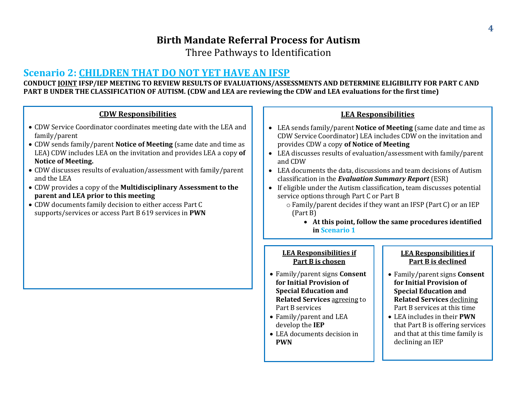Three Pathways to Identification

### **Scenario 2: CHILDREN THAT DO NOT YET HAVE AN IFSP**

**CONDUCT JOINT IFSP/IEP MEETING TO REVIEW RESULTS OF EVALUATIONS/ASSESSMENTS AND DETERMINE ELIGIBILITY FOR PART C AND PART B UNDER THE CLASSIFICATION OF AUTISM. (CDW and LEA are reviewing the CDW and LEA evaluations for the first time)**

### **CDW Responsibilities**

- CDW Service Coordinator coordinates meeting date with the LEA and family/parent
- CDW sends family/parent **Notice of Meeting** (same date and time as LEA) CDW includes LEA on the invitation and provides LEA a copy **of Notice of Meeting.**
- CDW discusses results of evaluation/assessment with family/parent and the LEA
- CDW provides a copy of the **Multidisciplinary Assessment to the parent and LEA prior to this meeting**
- CDW documents family decision to either access Part C supports/services or access Part B 619 services in **PWN**

#### **LEA Responsibilities**

- LEA sends family/parent **Notice of Meeting** (same date and time as CDW Service Coordinator) LEA includes CDW on the invitation and provides CDW a copy **of Notice of Meeting**
- LEA discusses results of evaluation/assessment with family/parent and CDW
- LEA documents the data, discussions and team decisions of Autism classification in the *Evaluation Summary Report* (ESR)
- If eligible under the Autism classification**,** team discusses potential service options through Part C or Part B
	- o Family/parent decides if they want an IFSP (Part C) or an IEP (Part B)
		- **At this point, follow the same procedures identified in Scenario 1**

#### **LEA Responsibilities if Part B is chosen**

- Family/parent signs **Consent for Initial Provision of Special Education and Related Services** agreeing to Part B services
- Family/parent and LEA develop the **IEP**
- LEA documents decision in **PWN**

#### **LEA Responsibilities if Part B is declined**

- Family/parent signs **Consent for Initial Provision of Special Education and Related Services** declining Part B services at this time
- LEA includes in their **PWN** that Part B is offering services and that at this time family is declining an IEP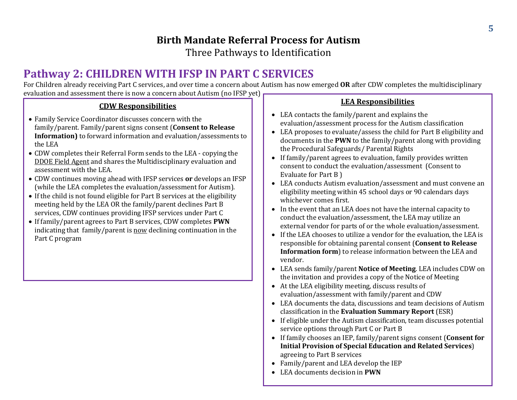Three Pathways to Identification

# **Pathway 2: CHILDREN WITH IFSP IN PART C SERVICES**

For Children already receiving Part C services, and over time a concern about Autism has now emerged **OR** after CDW completes the multidisciplinary evaluation and assessment there is now a concern about Autism (no IFSP yet)

### **CDW Responsibilities**

- Family Service Coordinator discusses concern with the family/parent. Family/parent signs consent (**Consent to Release Information)** to forward information and evaluation/assessments to the LEA
- CDW completes their Referral Form sends to the LEA copying the DDOE Field Agent and shares the Multidisciplinary evaluation and assessment with the LEA.
- CDW continues moving ahead with IFSP services **or** develops an IFSP (while the LEA completes the evaluation/assessment for Autism).
- If the child is not found eligible for Part B services at the eligibility meeting held by the LEA OR the family/parent declines Part B services, CDW continues providing IFSP services under Part C
- If family/parent agrees to Part B services, CDW completes **PWN** indicating that family/parent is now declining continuation in the Part C program

### **LEA Responsibilities**

- LEA contacts the family/parent and explains the evaluation/assessment process for the Autism classification
- LEA proposes to evaluate/assess the child for Part B eligibility and documents in the **PWN** to the family/parent along with providing the Procedural Safeguards/ Parental Rights
- If family/parent agrees to evaluation, family provides written consent to conduct the evaluation/assessment (Consent to Evaluate for Part B )
- LEA conducts Autism evaluation/assessment and must convene an eligibility meeting within 45 school days or 90 calendars days whichever comes first.
- In the event that an LEA does not have the internal capacity to conduct the evaluation/assessment, the LEA may utilize an external vendor for parts of or the whole evaluation/assessment.
- If the LEA chooses to utilize a vendor for the evaluation, the LEA is responsible for obtaining parental consent (**Consent to Release Information form**) to release information between the LEA and vendor.
- LEA sends family/parent **Notice of Meeting**. LEA includes CDW on the invitation and provides a copy of the Notice of Meeting
- At the LEA eligibility meeting, discuss results of evaluation/assessment with family/parent and CDW
- LEA documents the data, discussions and team decisions of Autism classification in the **Evaluation Summary Report** (ESR)
- If eligible under the Autism classification, team discusses potential service options through Part C or Part B
- If family chooses an IEP, family/parent signs consent (**Consent for Initial Provision of Special Education and Related Services**) agreeing to Part B services
- Family/parent and LEA develop the IEP
- LEA documents decision in **PWN**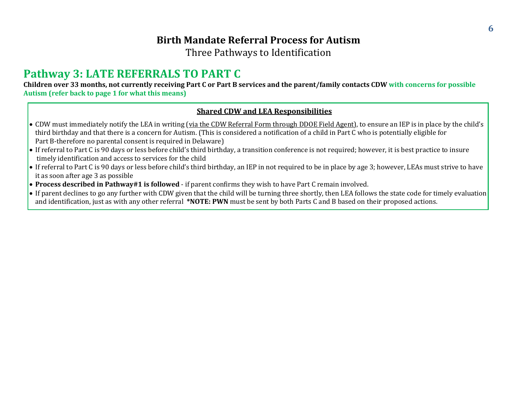Three Pathways to Identification

# **Pathway 3: LATE REFERRALS TO PART C**

**Children over 33 months, not currently receiving Part C or Part B services and the parent/family contacts CDW with concerns for possible Autism (refer back to page 1 for what this means)**

#### **Shared CDW and LEA Responsibilities**

- CDW must immediately notify the LEA in writing (via the CDW Referral Form through DDOE Field Agent), to ensure an IEP is in place by the child's third birthday and that there is a concern for Autism. (This is considered a notification of a child in Part C who is potentially eligible for Part B-therefore no parental consent is required in Delaware)
- If referral to Part C is 90 days or less before child's third birthday, a transition conference is not required; however, it is best practice to insure timely identification and access to services for the child
- If referral to Part C is 90 days or less before child's third birthday, an IEP in not required to be in place by age 3; however, LEAs must strive to have it as soon after age 3 as possible
- **Process described in Pathway#1 is followed**  if parent confirms they wish to have Part C remain involved.
- If parent declines to go any further with CDW given that the child will be turning three shortly, then LEA follows the state code for timely evaluation and identification, just as with any other referral **\*NOTE: PWN** must be sent by both Parts C and B based on their proposed actions.